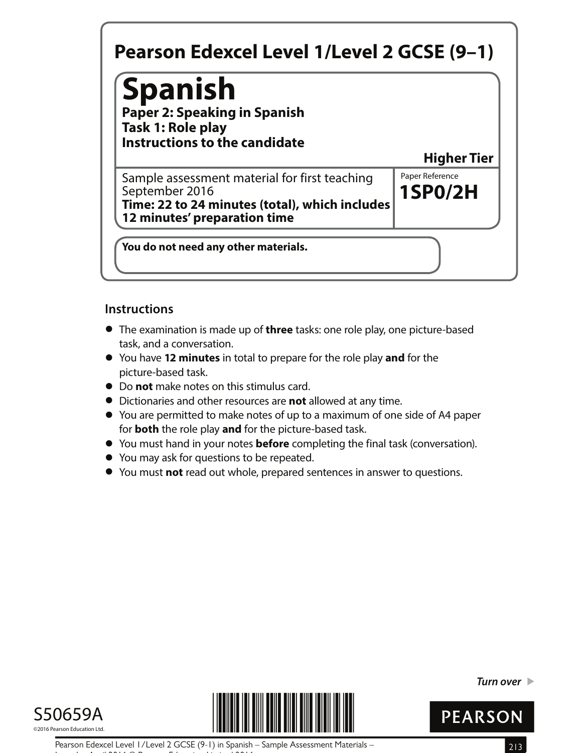# **Spanish**

**Paper 2: Speaking in Spanish Task 1: Role play Instructions to the candidate**

**Higher Tier**

**1SP0/2H** Sample assessment material for first teaching  $\|$  Paper Reference September 2016 **Time: 22 to 24 minutes (total), which includes 12 minutes' preparation time**

**You do not need any other materials.**

#### **Instructions**

- **•** The examination is made up of **three** tasks: one role play, one picture-based task, and a conversation.
- **•** You have **12 minutes** in total to prepare for the role play **and** for the picture-based task.
- **•** Do **not** make notes on this stimulus card.
- **•** Dictionaries and other resources are **not** allowed at any time.
- **•** You are permitted to make notes of up to a maximum of one side of A4 paper for **both** the role play **and** for the picture-based task.
- **•** for **both** the role play and for the picture-based task.<br>• You must hand in your notes **before** completing the final task (conversation).
- **•** You must hand in your notes **before** comp<br>• You may ask for questions to be repeated.
- **●** You may ask for questions to be repeated.<br>● You must **not** read out whole, prepared sentences in answer to questions.





**Turn over** 



Pearson Edexcel Level 1/Level 2 GCSE (9-1) in Spanish – Sample Assessment Materials – 213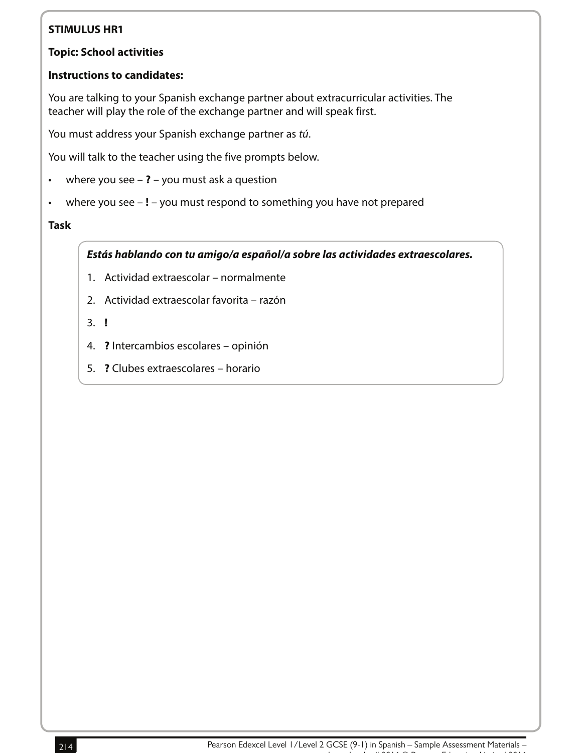#### **Topic: School activities**

#### **Instructions to candidates:**

You are talking to your Spanish exchange partner about extracurricular activities. The teacher will play the role of the exchange partner and will speak first.

You must address your Spanish exchange partner as tú.

You will talk to the teacher using the five prompts below.

- where you see **?** you must ask a question
- where you see **!** you must respond to something you have not prepared

#### **Task**

#### **Estás hablando con tu amigo/a español/a sobre las actividades extraescolares.**

- 1. Actividad extraescolar normalmente
- 2. Actividad extraescolar favorita razón
- 3. **!**
- 4. **?** Intercambios escolares opinión
- 5. **?** Clubes extraescolares horario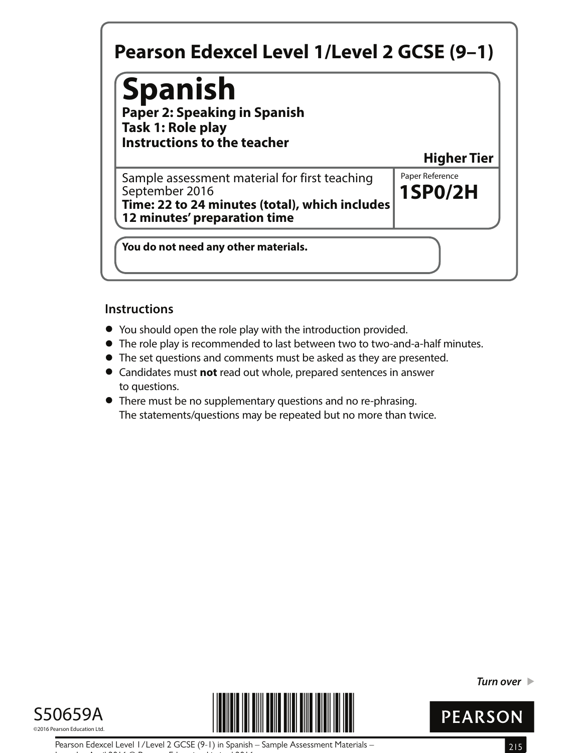## **Spanish**

**Paper 2: Speaking in Spanish Task 1: Role play Instructions to the teacher**

**Higher Tier**

**1SP0/2H** Sample assessment material for first teaching  $\|$  Paper Reference September 2016 **Time: 22 to 24 minutes (total), which includes 12 minutes' preparation time**

**You do not need any other materials.**

#### **Instructions**

- **•** You should open the role play with the introduction provided.
- You should open the role play with the introduction provided.<br>● The role play is recommended to last between two to two-and-a-half minutes.
- The role play is recommended to last between two to two-and-a-half n<br>● The set questions and comments must be asked as they are presented. • The set questions and comments must be asked as they are presented.<br>• Candidates must **not** read out whole, prepared sentences in answer
- to questions.
- **•** There must be no supplementary questions and no re-phrasing. The statements/questions may be repeated but no more than twice.





**Turn over** 



Pearson Edexcel Level 1/Level 2 GCSE (9-1) in Spanish – Sample Assessment Materials – 215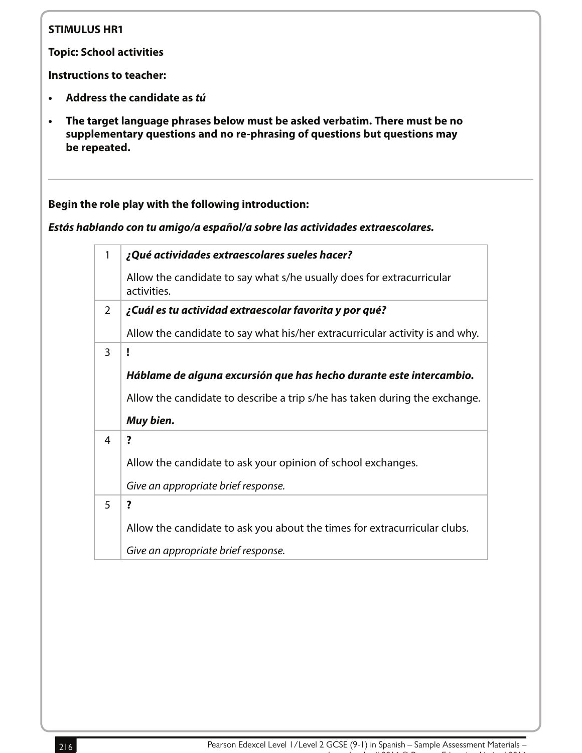**Topic: School activities**

**Instructions to teacher:**

- **Address the candidate as tú**
- **The target language phrases below must be asked verbatim. There must be no supplementary questions and no re-phrasing of questions but questions may be repeated.**

#### **Begin the role play with the following introduction:**

**Estás hablando con tu amigo/a español/a sobre las actividades extraescolares.**

| 1 | ¿Qué actividades extraescolares sueles hacer?                                        |
|---|--------------------------------------------------------------------------------------|
|   | Allow the candidate to say what s/he usually does for extracurricular<br>activities. |
| 2 | ¿Cuál es tu actividad extraescolar favorita y por qué?                               |
|   | Allow the candidate to say what his/her extracurricular activity is and why.         |
| 3 | ï                                                                                    |
|   | Háblame de alguna excursión que has hecho durante este intercambio.                  |
|   | Allow the candidate to describe a trip s/he has taken during the exchange.           |
|   | Muy bien.                                                                            |
| 4 | ?                                                                                    |
|   | Allow the candidate to ask your opinion of school exchanges.                         |
|   | Give an appropriate brief response.                                                  |
| 5 | $\overline{\mathbf{?}}$                                                              |
|   | Allow the candidate to ask you about the times for extracurricular clubs.            |
|   | Give an appropriate brief response.                                                  |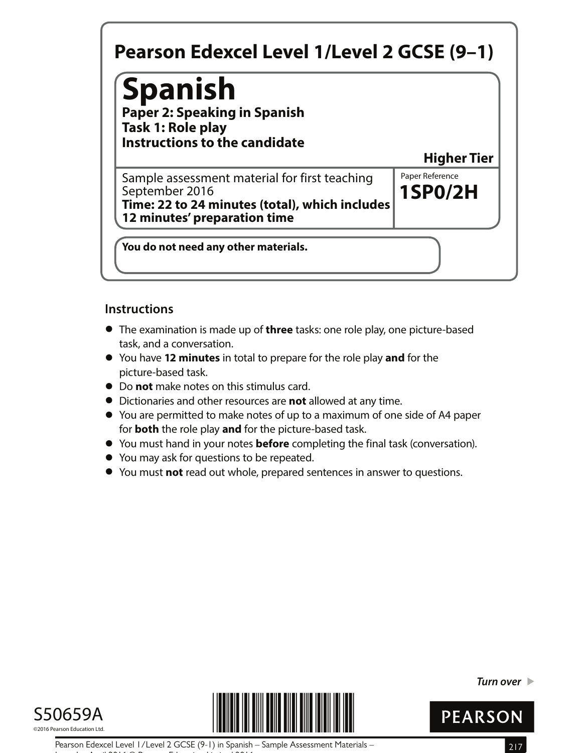# **Spanish**

**Paper 2: Speaking in Spanish Task 1: Role play Instructions to the candidate**

**Higher Tier**

**1SP0/2H** Sample assessment material for first teaching  $\|$  Paper Reference September 2016 **Time: 22 to 24 minutes (total), which includes 12 minutes' preparation time**

**You do not need any other materials.**

#### **Instructions**

- **•** The examination is made up of **three** tasks: one role play, one picture-based task, and a conversation.
- **•** You have **12 minutes** in total to prepare for the role play **and** for the picture-based task.
- **•** Do **not** make notes on this stimulus card.
- **•** Dictionaries and other resources are **not** allowed at any time.
- **•** You are permitted to make notes of up to a maximum of one side of A4 paper for **both** the role play **and** for the picture-based task.
- **•** for **both** the role play and for the picture-based task.<br>• You must hand in your notes **before** completing the final task (conversation).
- **•** You must hand in your notes **before** comp<br>• You may ask for questions to be repeated.
- **●** You may ask for questions to be repeated.<br>● You must **not** read out whole, prepared sentences in answer to questions.





**Turn over** 



Pearson Edexcel Level 1/Level 2 GCSE (9-1) in Spanish – Sample Assessment Materials – 217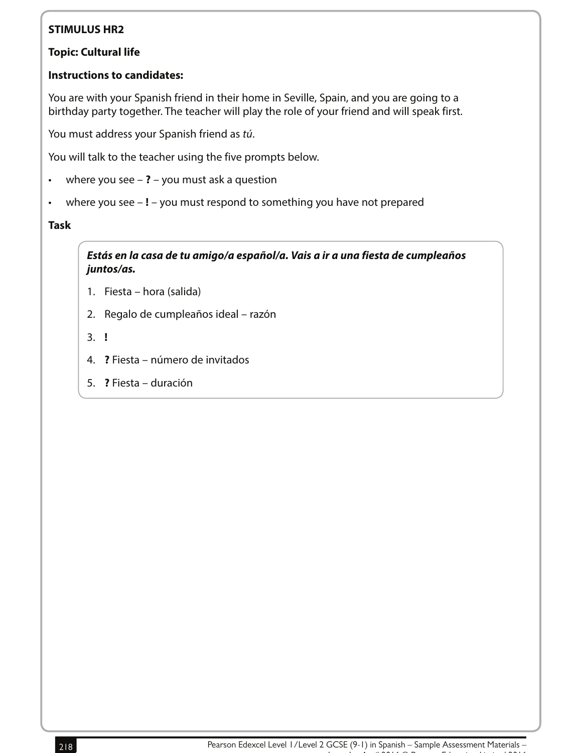#### **Topic: Cultural life**

#### **Instructions to candidates:**

You are with your Spanish friend in their home in Seville, Spain, and you are going to a birthday party together. The teacher will play the role of your friend and will speak first.

You must address your Spanish friend as tú.

You will talk to the teacher using the five prompts below.

- where you see **?** you must ask a question
- where you see **!** you must respond to something you have not prepared

#### **Task**

**Estás en la casa de tu amigo/a español/a. Vais a ir a una fiesta de cumpleaños juntos/as.**

- 1. Fiesta hora (salida)
- 2. Regalo de cumpleaños ideal razón
- 3. **!**
- 4. **?** Fiesta número de invitados
- 5. **?** Fiesta duración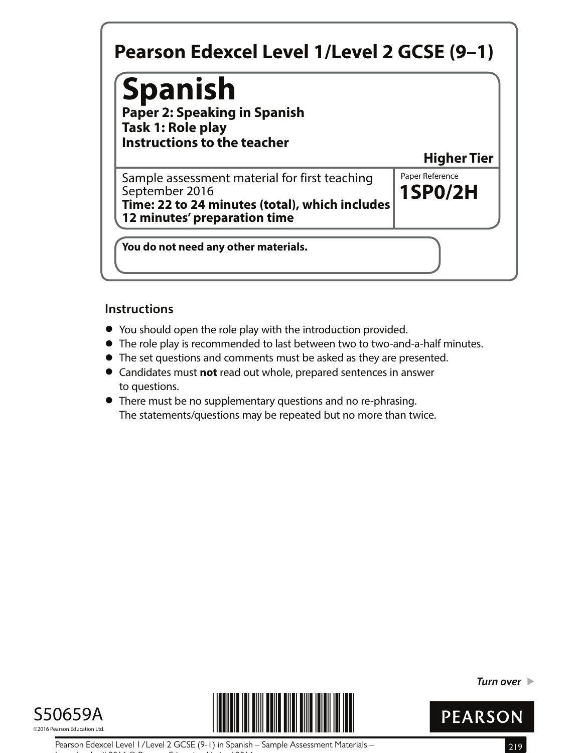## **Spanish**

**Paper 2: Speaking in Spanish Task 1: Role play Instructions to the teacher**

**Higher Tier**

**1SP0/2H** Sample assessment material for first teaching  $\|$  Paper Reference September 2016 **Time: 22 to 24 minutes (total), which includes 12 minutes' preparation time**

**You do not need any other materials.**

#### **Instructions**

- **•** You should open the role play with the introduction provided.
- You should open the role play with the introduction provided.<br>● The role play is recommended to last between two to two-and-a-half minutes.
- The role play is recommended to last between two to two-and-a-half n<br>● The set questions and comments must be asked as they are presented. • The set questions and comments must be asked as they are presented.<br>• Candidates must **not** read out whole, prepared sentences in answer
- to questions.
- **•** There must be no supplementary questions and no re-phrasing. The statements/questions may be repeated but no more than twice.





**Turn over** 



Pearson Edexcel Level 1/Level 2 GCSE (9-1) in Spanish – Sample Assessment Materials – 219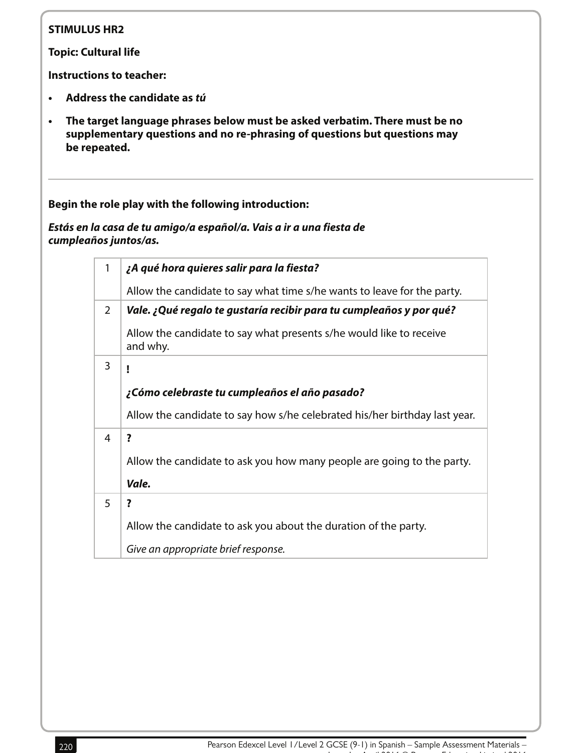**Topic: Cultural life**

**Instructions to teacher:**

- **• Address the candidate as tú**
- **• The target language phrases below must be asked verbatim. There must be no supplementary questions and no re-phrasing of questions but questions may be repeated.**

**Begin the role play with the following introduction:**

**Estás en la casa de tu amigo/a español/a. Vais a ir a una fiesta de cumpleaños juntos/as.** 

| 1              | ¿A qué hora quieres salir para la fiesta?                                       |
|----------------|---------------------------------------------------------------------------------|
|                | Allow the candidate to say what time s/he wants to leave for the party.         |
| $\overline{2}$ | Vale. ¿Qué regalo te gustaría recibir para tu cumpleaños y por qué?             |
|                | Allow the candidate to say what presents s/he would like to receive<br>and why. |
| 3              | ı                                                                               |
|                | ¿Cómo celebraste tu cumpleaños el año pasado?                                   |
|                | Allow the candidate to say how s/he celebrated his/her birthday last year.      |
| 4              | ?                                                                               |
|                | Allow the candidate to ask you how many people are going to the party.          |
|                | Vale.                                                                           |
| 5              | ?                                                                               |
|                | Allow the candidate to ask you about the duration of the party.                 |
|                | Give an appropriate brief response.                                             |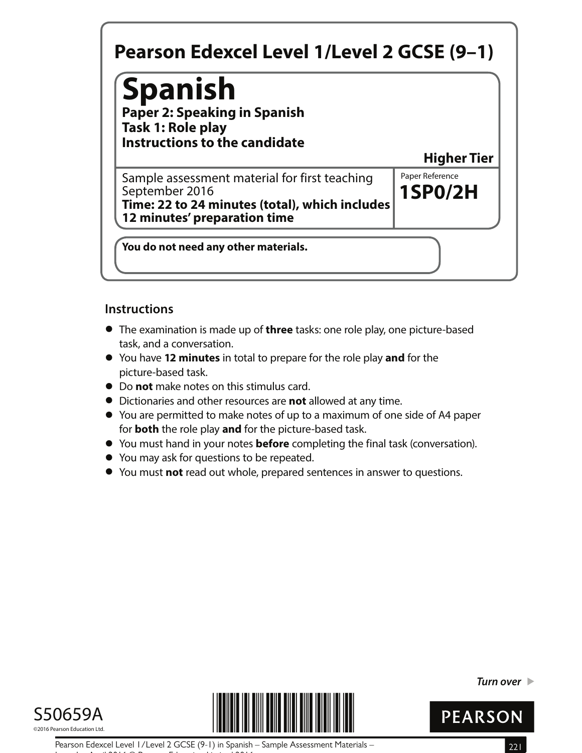# **Spanish**

**Paper 2: Speaking in Spanish Task 1: Role play Instructions to the candidate**

**Higher Tier**

**1SP0/2H** Sample assessment material for first teaching  $\|$  Paper Reference September 2016 **Time: 22 to 24 minutes (total), which includes 12 minutes' preparation time**

**You do not need any other materials.**

#### **Instructions**

- **•** The examination is made up of **three** tasks: one role play, one picture-based task, and a conversation.
- **•** You have **12 minutes** in total to prepare for the role play **and** for the picture-based task.
- **•** Do **not** make notes on this stimulus card.
- **•** Dictionaries and other resources are **not** allowed at any time.
- **•** You are permitted to make notes of up to a maximum of one side of A4 paper for **both** the role play **and** for the picture-based task.
- **•** for **both** the role play and for the picture-based task.<br>• You must hand in your notes **before** completing the final task (conversation).
- **•** You must hand in your notes **before** comp<br>• You may ask for questions to be repeated.
- **●** You may ask for questions to be repeated.<br>● You must **not** read out whole, prepared sentences in answer to questions.





**Turn over** 



Pearson Edexcel Level 1/Level 2 GCSE (9-1) in Spanish – Sample Assessment Materials – 221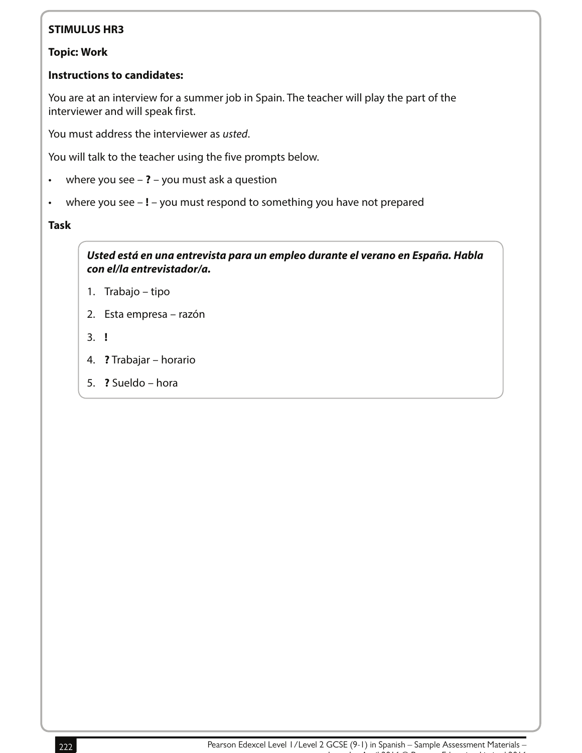#### **Topic: Work**

#### **Instructions to candidates:**

You are at an interview for a summer job in Spain. The teacher will play the part of the interviewer and will speak first.

You must address the interviewer as usted.

You will talk to the teacher using the five prompts below.

- where you see **?** you must ask a question
- where you see **!** you must respond to something you have not prepared

#### **Task**

**Usted está en una entrevista para un empleo durante el verano en España. Habla con el/la entrevistador/a.**

- 1. Trabajo tipo
- 2. Esta empresa razón
- 3. **!**
- 4. **?** Trabajar horario
- 5. **?** Sueldo hora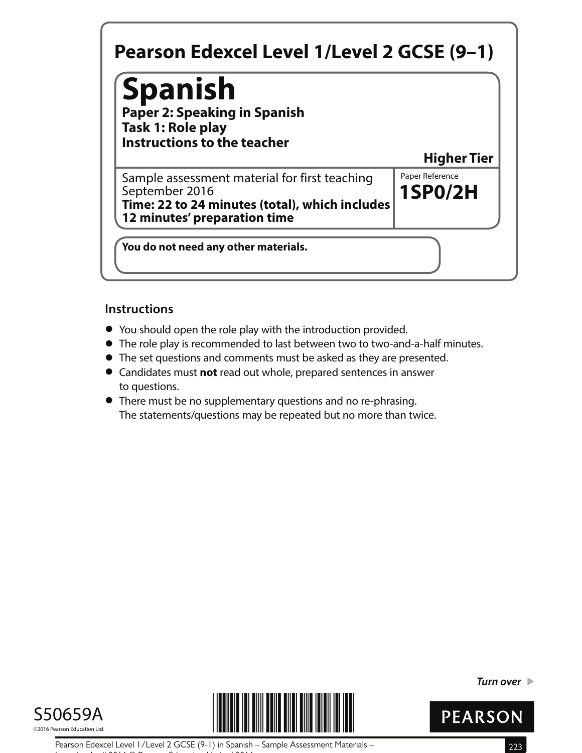## **Spanish**

**Paper 2: Speaking in Spanish Task 1: Role play Instructions to the teacher**

**Higher Tier**

**1SP0/2H** Sample assessment material for first teaching  $\|$  Paper Reference September 2016 **Time: 22 to 24 minutes (total), which includes 12 minutes' preparation time**

**You do not need any other materials.**

#### **Instructions**

- **•** You should open the role play with the introduction provided.
- You should open the role play with the introduction provided.<br>● The role play is recommended to last between two to two-and-a-half minutes.
- The role play is recommended to last between two to two-and-a-half n<br>● The set questions and comments must be asked as they are presented. • The set questions and comments must be asked as they are presented.<br>• Candidates must **not** read out whole, prepared sentences in answer
- to questions.
- **•** There must be no supplementary questions and no re-phrasing. The statements/questions may be repeated but no more than twice.





**Turn over** 



Pearson Edexcel Level 1/Level 2 GCSE (9-1) in Spanish – Sample Assessment Materials – 223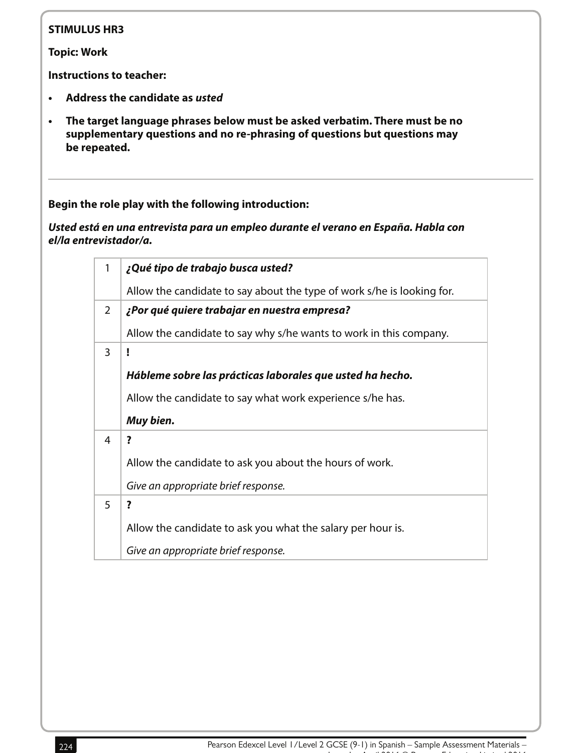**Topic: Work**

**Instructions to teacher:**

- **• Address the candidate as usted**
- **• The target language phrases below must be asked verbatim. There must be no supplementary questions and no re-phrasing of questions but questions may be repeated.**

**Begin the role play with the following introduction:**

**Usted está en una entrevista para un empleo durante el verano en España. Habla con el/la entrevistador/a.**

| 1 | ¿Qué tipo de trabajo busca usted?                                      |
|---|------------------------------------------------------------------------|
|   | Allow the candidate to say about the type of work s/he is looking for. |
| 2 | ¿Por qué quiere trabajar en nuestra empresa?                           |
|   | Allow the candidate to say why s/he wants to work in this company.     |
| 3 | ľ                                                                      |
|   | Hábleme sobre las prácticas laborales que usted ha hecho.              |
|   | Allow the candidate to say what work experience s/he has.              |
|   | Muy bien.                                                              |
| 4 | ?                                                                      |
|   | Allow the candidate to ask you about the hours of work.                |
|   | Give an appropriate brief response.                                    |
| 5 | ?                                                                      |
|   |                                                                        |
|   | Allow the candidate to ask you what the salary per hour is.            |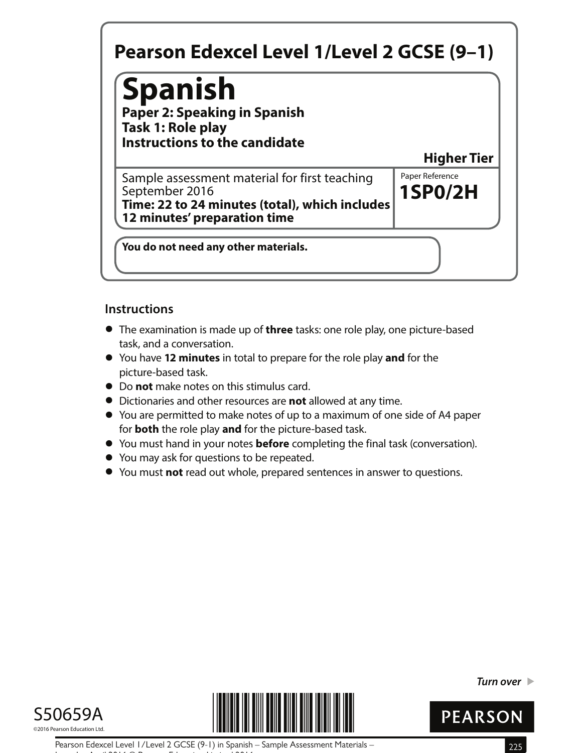# **Spanish**

**Paper 2: Speaking in Spanish Task 1: Role play Instructions to the candidate**

**Higher Tier**

**1SP0/2H** Sample assessment material for first teaching  $\|$  Paper Reference September 2016 **Time: 22 to 24 minutes (total), which includes 12 minutes' preparation time**

**You do not need any other materials.**

#### **Instructions**

- **•** The examination is made up of **three** tasks: one role play, one picture-based task, and a conversation.
- **•** You have **12 minutes** in total to prepare for the role play **and** for the picture-based task.
- **•** Do **not** make notes on this stimulus card.
- **•** Dictionaries and other resources are **not** allowed at any time.
- **•** You are permitted to make notes of up to a maximum of one side of A4 paper for **both** the role play **and** for the picture-based task.
- **•** for **both** the role play and for the picture-based task.<br>• You must hand in your notes **before** completing the final task (conversation).
- **•** You must hand in your notes **before** comp<br>• You may ask for questions to be repeated.
- **●** You may ask for questions to be repeated.<br>● You must **not** read out whole, prepared sentences in answer to questions.





**Turn over** 



Pearson Edexcel Level 1/Level 2 GCSE (9-1) in Spanish – Sample Assessment Materials – 225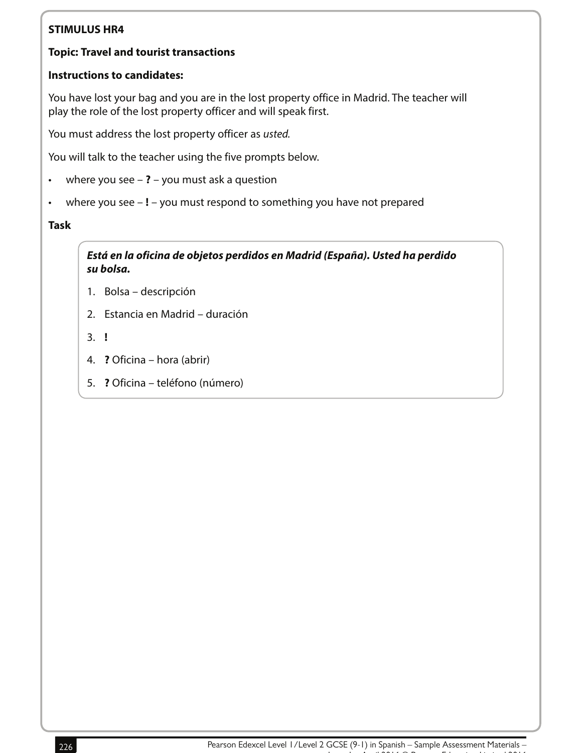#### **Topic: Travel and tourist transactions**

#### **Instructions to candidates:**

You have lost your bag and you are in the lost property office in Madrid. The teacher will play the role of the lost property officer and will speak first.

You must address the lost property officer as usted.

You will talk to the teacher using the five prompts below.

- where you see **?** you must ask a question
- where you see **!** you must respond to something you have not prepared

#### **Task**

**Está en la oficina de objetos perdidos en Madrid (España). Usted ha perdido su bolsa.**

- 1. Bolsa descripción
- 2. Estancia en Madrid duración
- 3. **!**
- 4. **?** Oficina hora (abrir)
- 5. **?** Oficina teléfono (número)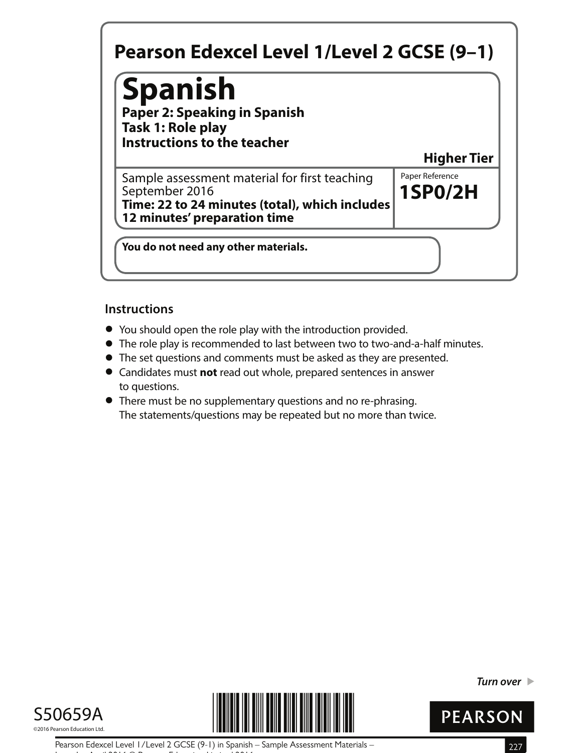## **Spanish**

**Paper 2: Speaking in Spanish Task 1: Role play Instructions to the teacher**

**Higher Tier**

**1SP0/2H** Sample assessment material for first teaching  $\|$  Paper Reference September 2016 **Time: 22 to 24 minutes (total), which includes 12 minutes' preparation time**

**You do not need any other materials.**

#### **Instructions**

- **•** You should open the role play with the introduction provided.
- You should open the role play with the introduction provided.<br>● The role play is recommended to last between two to two-and-a-half minutes.
- The role play is recommended to last between two to two-and-a-half n<br>● The set questions and comments must be asked as they are presented. • The set questions and comments must be asked as they are presented.<br>• Candidates must **not** read out whole, prepared sentences in answer
- to questions.
- **•** There must be no supplementary questions and no re-phrasing. The statements/questions may be repeated but no more than twice.





**Turn over** 



Pearson Edexcel Level 1/Level 2 GCSE (9-1) in Spanish – Sample Assessment Materials – 227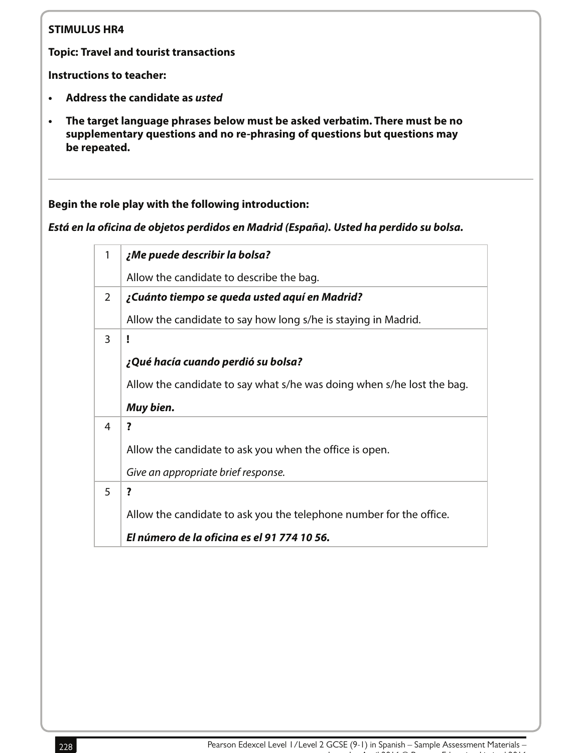**Topic: Travel and tourist transactions**

**Instructions to teacher:**

- **• Address the candidate as usted**
- **• The target language phrases below must be asked verbatim. There must be no supplementary questions and no re-phrasing of questions but questions may be repeated.**

**Begin the role play with the following introduction:** 

**Está en la oficina de objetos perdidos en Madrid (España). Usted ha perdido su bolsa.**

| $\mathbf{1}$ | ¿Me puede describir la bolsa?                                          |
|--------------|------------------------------------------------------------------------|
|              | Allow the candidate to describe the bag.                               |
| 2            | ¿Cuánto tiempo se queda usted aquí en Madrid?                          |
|              | Allow the candidate to say how long s/he is staying in Madrid.         |
| 3            |                                                                        |
|              | ¿Qué hacía cuando perdió su bolsa?                                     |
|              | Allow the candidate to say what s/he was doing when s/he lost the bag. |
|              | Muy bien.                                                              |
| 4            | ?                                                                      |
|              | Allow the candidate to ask you when the office is open.                |
|              | Give an appropriate brief response.                                    |
| 5            | ?                                                                      |
|              | Allow the candidate to ask you the telephone number for the office.    |
|              | El número de la oficina es el 91 774 10 56.                            |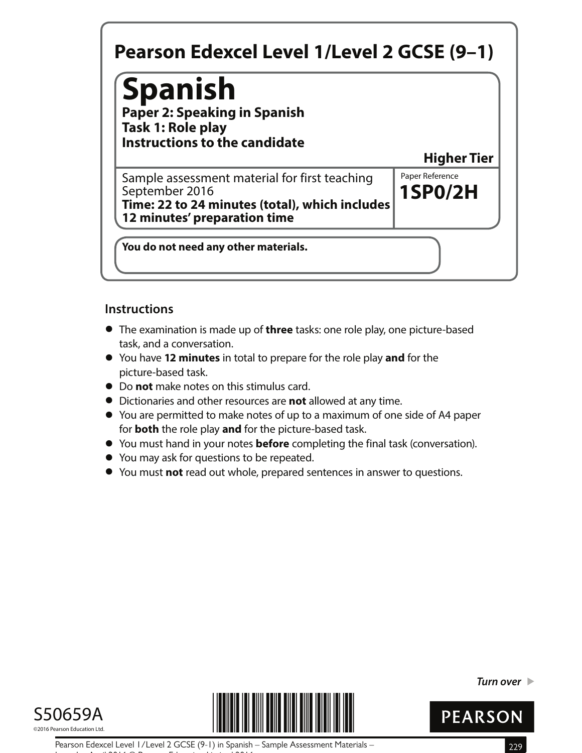# **Spanish**

**Paper 2: Speaking in Spanish Task 1: Role play Instructions to the candidate**

**Higher Tier**

**1SP0/2H** Sample assessment material for first teaching  $\|$  Paper Reference September 2016 **Time: 22 to 24 minutes (total), which includes 12 minutes' preparation time**

**You do not need any other materials.**

#### **Instructions**

- **•** The examination is made up of **three** tasks: one role play, one picture-based task, and a conversation.
- **•** You have **12 minutes** in total to prepare for the role play **and** for the picture-based task.
- **•** Do **not** make notes on this stimulus card.
- **•** Dictionaries and other resources are **not** allowed at any time.
- **•** You are permitted to make notes of up to a maximum of one side of A4 paper for **both** the role play **and** for the picture-based task.
- **•** for **both** the role play and for the picture-based task.<br>• You must hand in your notes **before** completing the final task (conversation).
- **•** You must hand in your notes **before** comp<br>• You may ask for questions to be repeated.
- **●** You may ask for questions to be repeated.<br>● You must **not** read out whole, prepared sentences in answer to questions.





**Turn over** 



Pearson Edexcel Level 1/Level 2 GCSE (9-1) in Spanish – Sample Assessment Materials – 229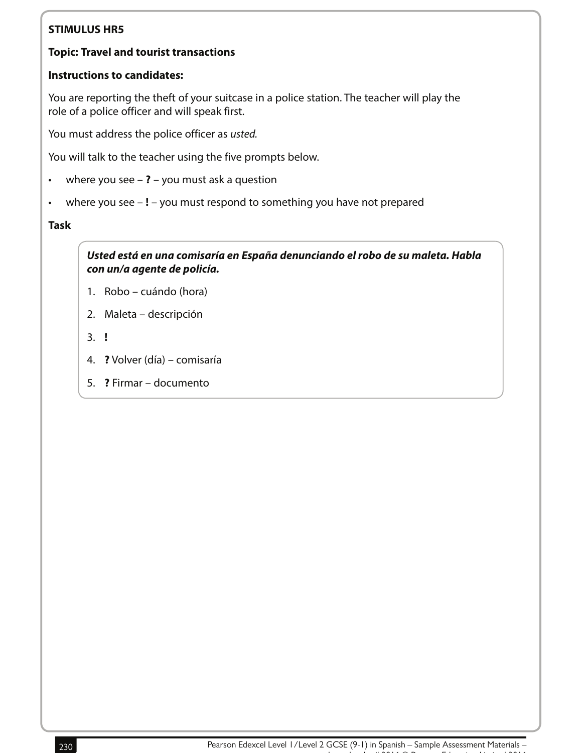#### **Topic: Travel and tourist transactions**

#### **Instructions to candidates:**

You are reporting the theft of your suitcase in a police station. The teacher will play the role of a police officer and will speak first.

You must address the police officer as usted.

You will talk to the teacher using the five prompts below.

- where you see **?** you must ask a question
- where you see **!** you must respond to something you have not prepared

**Task**

**Usted está en una comisaría en España denunciando el robo de su maleta. Habla con un/a agente de policía.**

- 1. Robo cuándo (hora)
- 2. Maleta descripción
- 3. **!**
- 4. **?** Volver (día) comisaría
- 5. **?** Firmar documento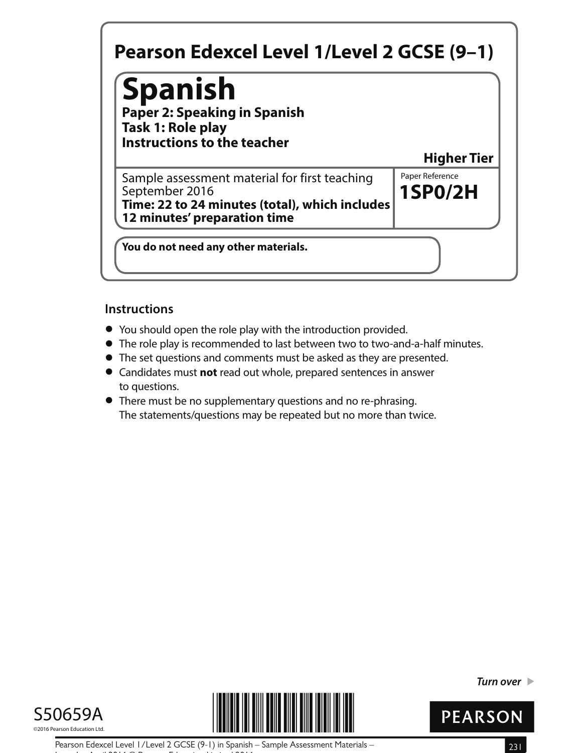## **Spanish**

**Paper 2: Speaking in Spanish Task 1: Role play Instructions to the teacher**

**Higher Tier**

**1SP0/2H** Sample assessment material for first teaching  $\|$  Paper Reference September 2016 **Time: 22 to 24 minutes (total), which includes 12 minutes' preparation time**

**You do not need any other materials.**

#### **Instructions**

- **•** You should open the role play with the introduction provided.
- You should open the role play with the introduction provided.<br>● The role play is recommended to last between two to two-and-a-half minutes.
- The role play is recommended to last between two to two-and-a-half n<br>● The set questions and comments must be asked as they are presented. • The set questions and comments must be asked as they are presented.<br>• Candidates must **not** read out whole, prepared sentences in answer
- to questions.
- **•** There must be no supplementary questions and no re-phrasing. The statements/questions may be repeated but no more than twice.





**Turn over** 



Pearson Edexcel Level 1/Level 2 GCSE (9-1) in Spanish – Sample Assessment Materials – 231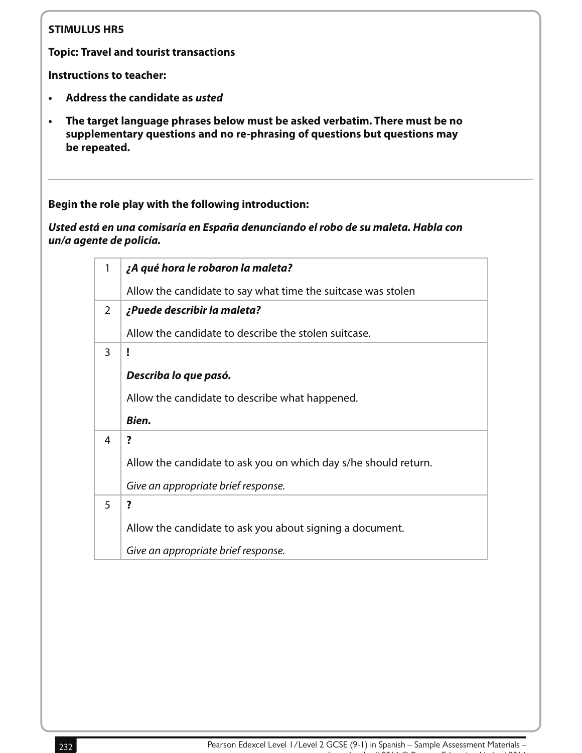**Topic: Travel and tourist transactions**

**Instructions to teacher:**

- **• Address the candidate as usted**
- **• The target language phrases below must be asked verbatim. There must be no supplementary questions and no re-phrasing of questions but questions may be repeated.**

**Begin the role play with the following introduction:**

**Usted está en una comisaría en España denunciando el robo de su maleta. Habla con un/a agente de policía.**

| 1             | ¿A qué hora le robaron la maleta?                               |
|---------------|-----------------------------------------------------------------|
|               | Allow the candidate to say what time the suitcase was stolen    |
| $\mathcal{P}$ | ¿Puede describir la maleta?                                     |
|               | Allow the candidate to describe the stolen suitcase.            |
| 3             | ľ                                                               |
|               | Describa lo que pasó.                                           |
|               | Allow the candidate to describe what happened.                  |
|               | Bien.                                                           |
|               |                                                                 |
| 4             | ?                                                               |
|               | Allow the candidate to ask you on which day s/he should return. |
|               | Give an appropriate brief response.                             |
| 5             | ?                                                               |
|               | Allow the candidate to ask you about signing a document.        |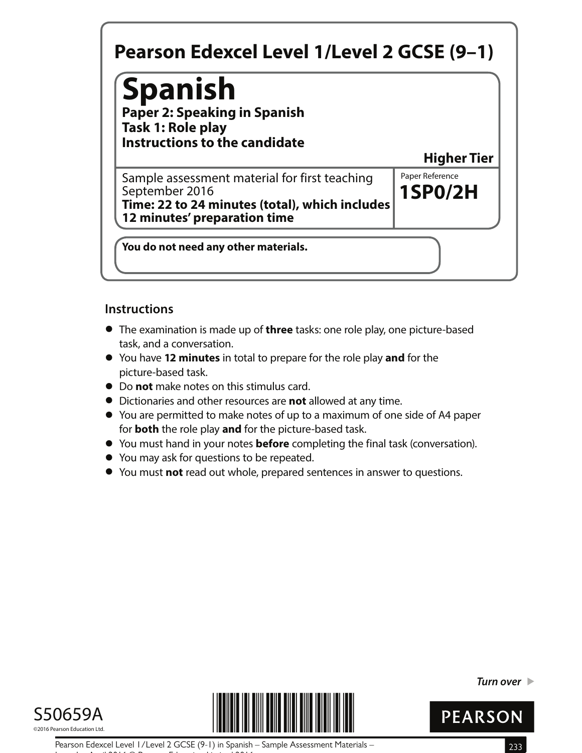# **Spanish**

**Paper 2: Speaking in Spanish Task 1: Role play Instructions to the candidate**

**Higher Tier**

**1SP0/2H** Sample assessment material for first teaching  $\|$  Paper Reference September 2016 **Time: 22 to 24 minutes (total), which includes 12 minutes' preparation time**

**You do not need any other materials.**

#### **Instructions**

- **•** The examination is made up of **three** tasks: one role play, one picture-based task, and a conversation.
- **•** You have **12 minutes** in total to prepare for the role play **and** for the picture-based task.
- **•** Do **not** make notes on this stimulus card.
- **•** Dictionaries and other resources are **not** allowed at any time.
- **•** You are permitted to make notes of up to a maximum of one side of A4 paper for **both** the role play **and** for the picture-based task.
- **•** for **both** the role play and for the picture-based task.<br>• You must hand in your notes **before** completing the final task (conversation).
- **•** You must hand in your notes **before** comp<br>• You may ask for questions to be repeated.
- **●** You may ask for questions to be repeated.<br>● You must **not** read out whole, prepared sentences in answer to questions.





**Turn over** 



Pearson Edexcel Level 1/Level 2 GCSE (9-1) in Spanish – Sample Assessment Materials – 233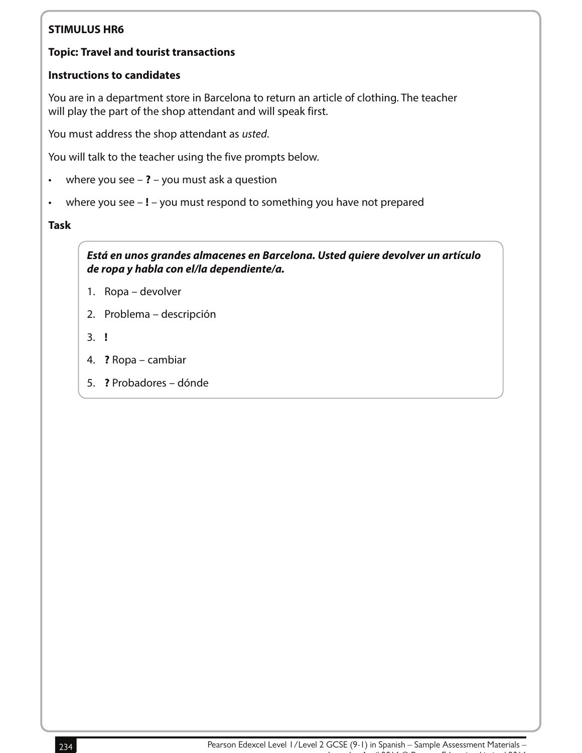#### **Topic: Travel and tourist transactions**

#### **Instructions to candidates**

You are in a department store in Barcelona to return an article of clothing. The teacher will play the part of the shop attendant and will speak first.

You must address the shop attendant as usted.

You will talk to the teacher using the five prompts below.

- where you see **?** you must ask a question
- where you see **!** you must respond to something you have not prepared

#### **Task**

**Está en unos grandes almacenes en Barcelona. Usted quiere devolver un artículo de ropa y habla con el/la dependiente/a.**

- 1. Ropa devolver
- 2. Problema descripción
- 3. **!**
- 4. **?** Ropa cambiar
- 5. **?** Probadores dónde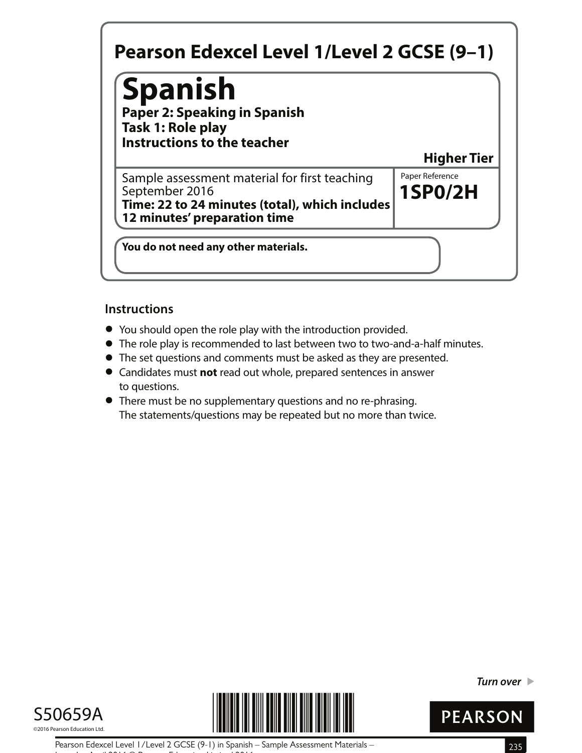## **Spanish**

**Paper 2: Speaking in Spanish Task 1: Role play Instructions to the teacher**

**Higher Tier**

**1SP0/2H** Sample assessment material for first teaching  $\|$  Paper Reference September 2016 **Time: 22 to 24 minutes (total), which includes 12 minutes' preparation time**

**You do not need any other materials.**

#### **Instructions**

- **•** You should open the role play with the introduction provided.
- You should open the role play with the introduction provided.<br>● The role play is recommended to last between two to two-and-a-half minutes.
- The role play is recommended to last between two to two-and-a-half n<br>● The set questions and comments must be asked as they are presented. • The set questions and comments must be asked as they are presented.<br>• Candidates must **not** read out whole, prepared sentences in answer
- to questions.
- **•** There must be no supplementary questions and no re-phrasing. The statements/questions may be repeated but no more than twice.





**Turn over** 



Pearson Edexcel Level 1/Level 2 GCSE (9-1) in Spanish – Sample Assessment Materials – 235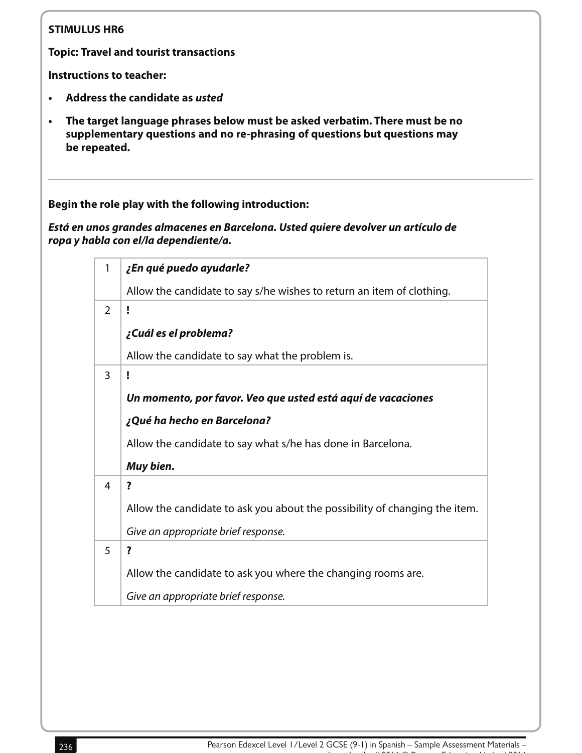**Topic: Travel and tourist transactions**

**Instructions to teacher:**

- **• Address the candidate as usted**
- **• The target language phrases below must be asked verbatim. There must be no supplementary questions and no re-phrasing of questions but questions may be repeated.**

**Begin the role play with the following introduction:** 

**Está en unos grandes almacenes en Barcelona. Usted quiere devolver un artículo de ropa y habla con el/la dependiente/a.**

| 1 | ¿En qué puedo ayudarle?                                                    |
|---|----------------------------------------------------------------------------|
|   | Allow the candidate to say s/he wishes to return an item of clothing.      |
| 2 | ľ                                                                          |
|   | ¿Cuál es el problema?                                                      |
|   | Allow the candidate to say what the problem is.                            |
| 3 | ï                                                                          |
|   | Un momento, por favor. Veo que usted está aquí de vacaciones               |
|   | ¿Qué ha hecho en Barcelona?                                                |
|   | Allow the candidate to say what s/he has done in Barcelona.                |
|   | Muy bien.                                                                  |
| 4 | ?                                                                          |
|   | Allow the candidate to ask you about the possibility of changing the item. |
|   | Give an appropriate brief response.                                        |
| 5 | ?                                                                          |
|   | Allow the candidate to ask you where the changing rooms are.               |
|   | Give an appropriate brief response.                                        |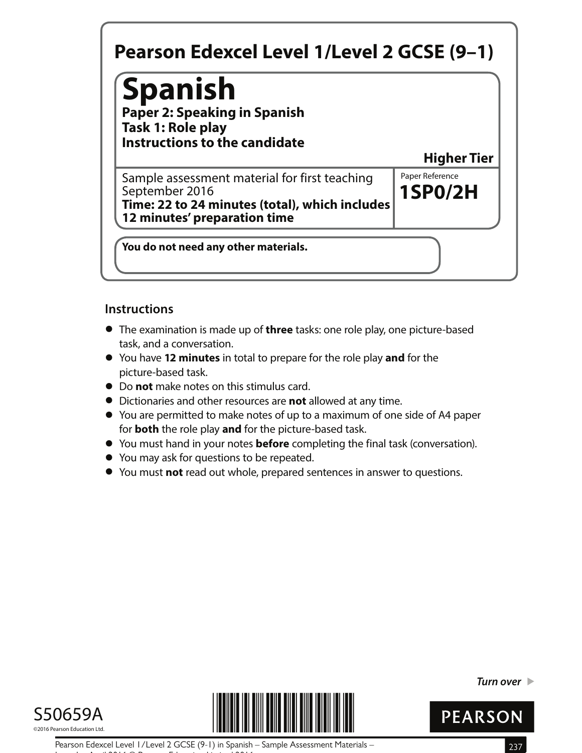# **Spanish**

**Paper 2: Speaking in Spanish Task 1: Role play Instructions to the candidate**

**Higher Tier**

**1SP0/2H** Sample assessment material for first teaching  $\|$  Paper Reference September 2016 **Time: 22 to 24 minutes (total), which includes 12 minutes' preparation time**

**You do not need any other materials.**

#### **Instructions**

- **•** The examination is made up of **three** tasks: one role play, one picture-based task, and a conversation.
- **•** You have **12 minutes** in total to prepare for the role play **and** for the picture-based task.
- **•** Do **not** make notes on this stimulus card.
- **•** Dictionaries and other resources are **not** allowed at any time.
- **•** You are permitted to make notes of up to a maximum of one side of A4 paper for **both** the role play **and** for the picture-based task.
- **•** for **both** the role play and for the picture-based task.<br>• You must hand in your notes **before** completing the final task (conversation).
- **•** You must hand in your notes **before** comp<br>• You may ask for questions to be repeated.
- **●** You may ask for questions to be repeated.<br>● You must **not** read out whole, prepared sentences in answer to questions.





**Turn over** 



Pearson Edexcel Level 1/Level 2 GCSE (9-1) in Spanish – Sample Assessment Materials – 237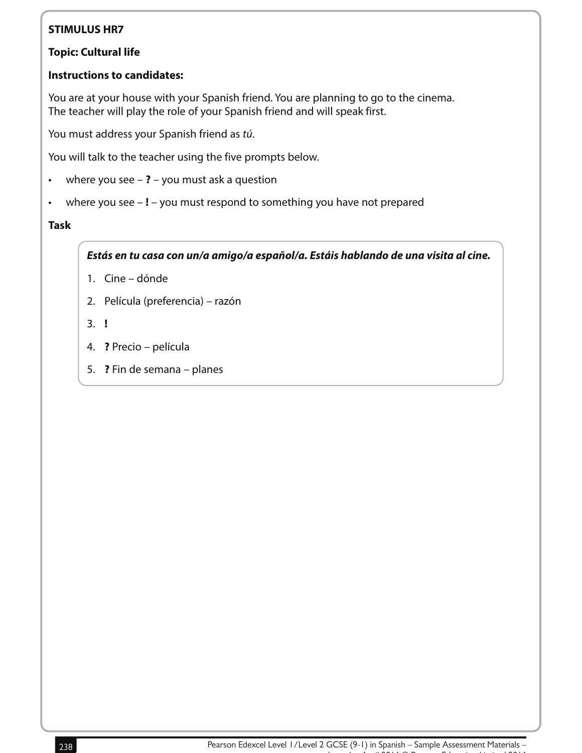#### **Topic: Cultural life**

#### **Instructions to candidates:**

You are at your house with your Spanish friend. You are planning to go to the cinema. The teacher will play the role of your Spanish friend and will speak first.

You must address your Spanish friend as tú.

You will talk to the teacher using the five prompts below.

- where you see **?** you must ask a question
- where you see **!** you must respond to something you have not prepared

#### **Task**

**Estás en tu casa con un/a amigo/a español/a. Estáis hablando de una visita al cine.**

- 1. Cine dónde
- 2. Película (preferencia) razón
- 3. **!**
- 4. **?** Precio película
- 5. **?** Fin de semana planes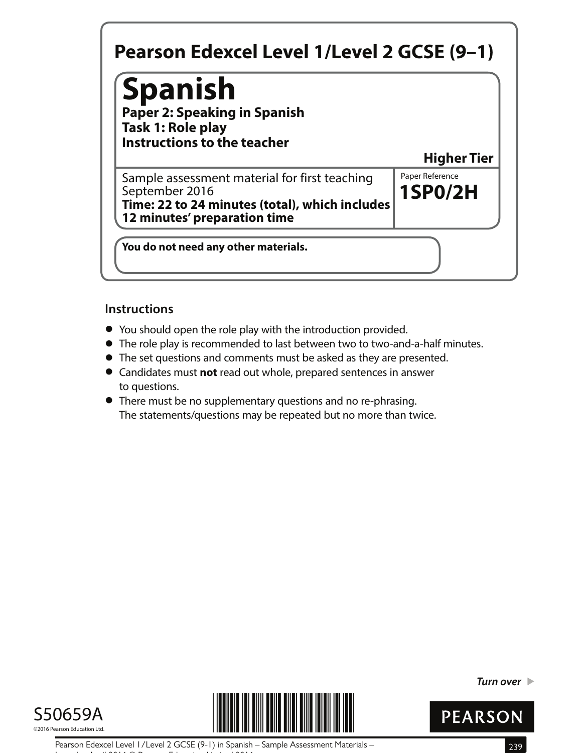## **Spanish**

**Paper 2: Speaking in Spanish Task 1: Role play Instructions to the teacher**

**Higher Tier**

**1SP0/2H** Sample assessment material for first teaching  $\|$  Paper Reference September 2016 **Time: 22 to 24 minutes (total), which includes 12 minutes' preparation time**

**You do not need any other materials.**

#### **Instructions**

- **•** You should open the role play with the introduction provided.
- You should open the role play with the introduction provided.<br>● The role play is recommended to last between two to two-and-a-half minutes.
- The role play is recommended to last between two to two-and-a-half n<br>● The set questions and comments must be asked as they are presented. • The set questions and comments must be asked as they are presented.<br>• Candidates must **not** read out whole, prepared sentences in answer
- to questions.
- **•** There must be no supplementary questions and no re-phrasing. The statements/questions may be repeated but no more than twice.





**Turn over** 



Pearson Edexcel Level 1/Level 2 GCSE (9-1) in Spanish – Sample Assessment Materials – 239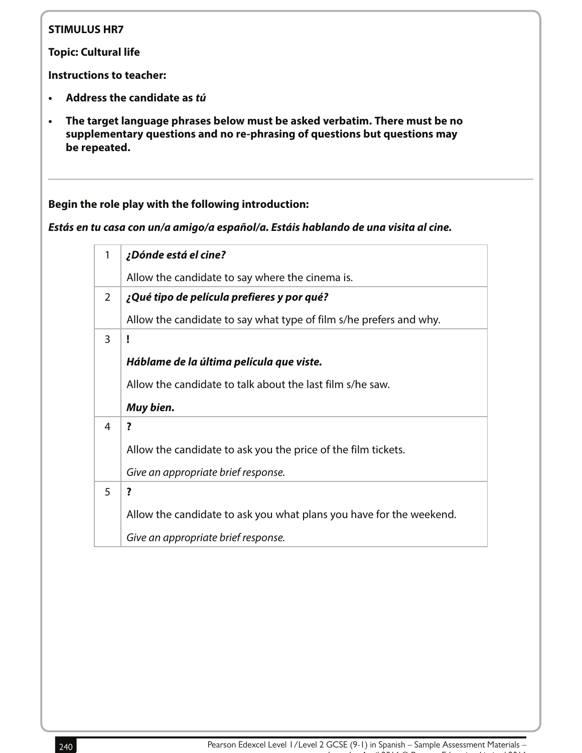**Topic: Cultural life**

**Instructions to teacher:**

- **Address the candidate as tú**
- **The target language phrases below must be asked verbatim. There must be no supplementary questions and no re-phrasing of questions but questions may be repeated.**

**Begin the role play with the following introduction:** 

**Estás en tu casa con un/a amigo/a español/a. Estáis hablando de una visita al cine.**

| 1 | ¿Dónde está el cine?                                                |
|---|---------------------------------------------------------------------|
|   | Allow the candidate to say where the cinema is.                     |
| 2 | ¿Qué tipo de película prefieres y por qué?                          |
|   | Allow the candidate to say what type of film s/he prefers and why.  |
| 3 |                                                                     |
|   | Háblame de la última película que viste.                            |
|   | Allow the candidate to talk about the last film s/he saw.           |
|   | Muy bien.                                                           |
| 4 | ?                                                                   |
|   | Allow the candidate to ask you the price of the film tickets.       |
|   | Give an appropriate brief response.                                 |
| 5 | ?                                                                   |
|   | Allow the candidate to ask you what plans you have for the weekend. |
|   | Give an appropriate brief response.                                 |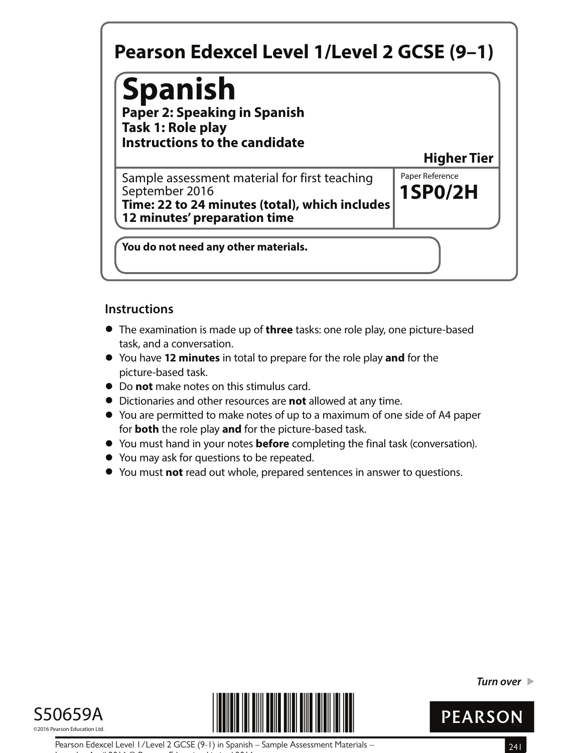# **Spanish**

**Paper 2: Speaking in Spanish Task 1: Role play Instructions to the candidate**

**Higher Tier**

**1SP0/2H** Sample assessment material for first teaching  $\|$  Paper Reference September 2016 **Time: 22 to 24 minutes (total), which includes 12 minutes' preparation time**

**You do not need any other materials.**

#### **Instructions**

- **•** The examination is made up of **three** tasks: one role play, one picture-based task, and a conversation.
- **•** You have **12 minutes** in total to prepare for the role play **and** for the picture-based task.
- **•** Do **not** make notes on this stimulus card.
- **•** Dictionaries and other resources are **not** allowed at any time.
- **•** You are permitted to make notes of up to a maximum of one side of A4 paper for **both** the role play **and** for the picture-based task.
- **•** for **both** the role play and for the picture-based task.<br>• You must hand in your notes **before** completing the final task (conversation).
- **•** You must hand in your notes **before** comp<br>• You may ask for questions to be repeated.
- **●** You may ask for questions to be repeated.<br>● You must **not** read out whole, prepared sentences in answer to questions.





**Turn over** 



Pearson Edexcel Level 1/Level 2 GCSE (9-1) in Spanish – Sample Assessment Materials – 241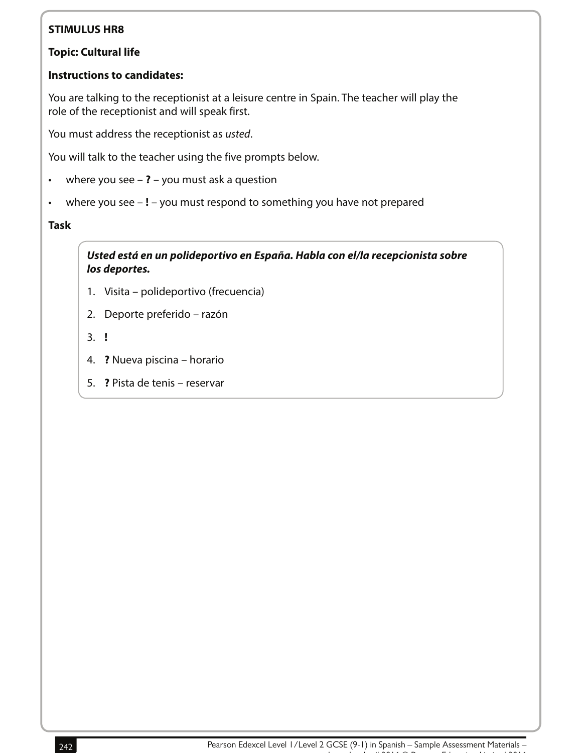#### **Topic: Cultural life**

#### **Instructions to candidates:**

You are talking to the receptionist at a leisure centre in Spain. The teacher will play the role of the receptionist and will speak first.

You must address the receptionist as usted.

You will talk to the teacher using the five prompts below.

- where you see **?** you must ask a question
- where you see **!** you must respond to something you have not prepared

#### **Task**

**Usted está en un polideportivo en España. Habla con el/la recepcionista sobre los deportes.**

- 1. Visita polideportivo (frecuencia)
- 2. Deporte preferido razón
- 3. **!**
- 4. **?** Nueva piscina horario
- 5. **?** Pista de tenis reservar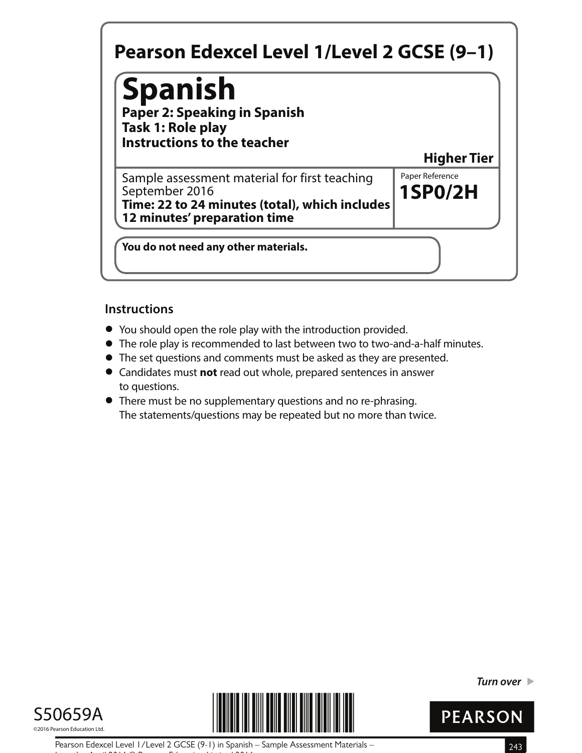## **Spanish**

**Paper 2: Speaking in Spanish Task 1: Role play Instructions to the teacher**

**Higher Tier**

**1SP0/2H** Sample assessment material for first teaching  $\|$  Paper Reference September 2016 **Time: 22 to 24 minutes (total), which includes 12 minutes' preparation time**

**You do not need any other materials.**

#### **Instructions**

- **•** You should open the role play with the introduction provided.
- You should open the role play with the introduction provided.<br>● The role play is recommended to last between two to two-and-a-half minutes.
- The role play is recommended to last between two to two-and-a-half n<br>● The set questions and comments must be asked as they are presented. • The set questions and comments must be asked as they are presented.<br>• Candidates must **not** read out whole, prepared sentences in answer
- to questions.
- **•** There must be no supplementary questions and no re-phrasing. The statements/questions may be repeated but no more than twice.





**Turn over** 



Pearson Edexcel Level 1/Level 2 GCSE (9-1) in Spanish – Sample Assessment Materials – 243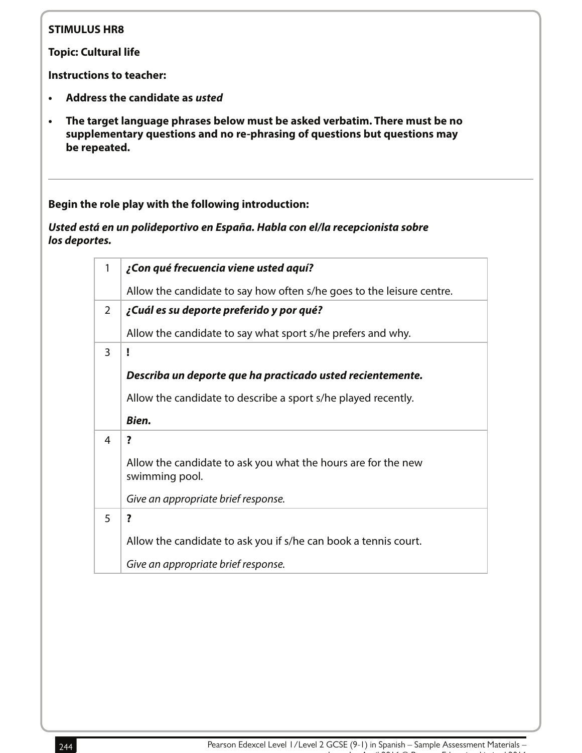**Topic: Cultural life**

**Instructions to teacher:**

- **• Address the candidate as usted**
- **• The target language phrases below must be asked verbatim. There must be no supplementary questions and no re-phrasing of questions but questions may be repeated.**

**Begin the role play with the following introduction:** 

**Usted está en un polideportivo en España. Habla con el/la recepcionista sobre los deportes.**

| 1              | ¿Con qué frecuencia viene usted aquí?                                           |
|----------------|---------------------------------------------------------------------------------|
|                | Allow the candidate to say how often s/he goes to the leisure centre.           |
| 2              | ¿Cuál es su deporte preferido y por qué?                                        |
|                | Allow the candidate to say what sport s/he prefers and why.                     |
| $\overline{3}$ | ï                                                                               |
|                | Describa un deporte que ha practicado usted recientemente.                      |
|                | Allow the candidate to describe a sport s/he played recently.                   |
|                | Bien.                                                                           |
| 4              | ?                                                                               |
|                | Allow the candidate to ask you what the hours are for the new<br>swimming pool. |
|                | Give an appropriate brief response.                                             |
| 5              | ?                                                                               |
|                | Allow the candidate to ask you if s/he can book a tennis court.                 |
|                | Give an appropriate brief response.                                             |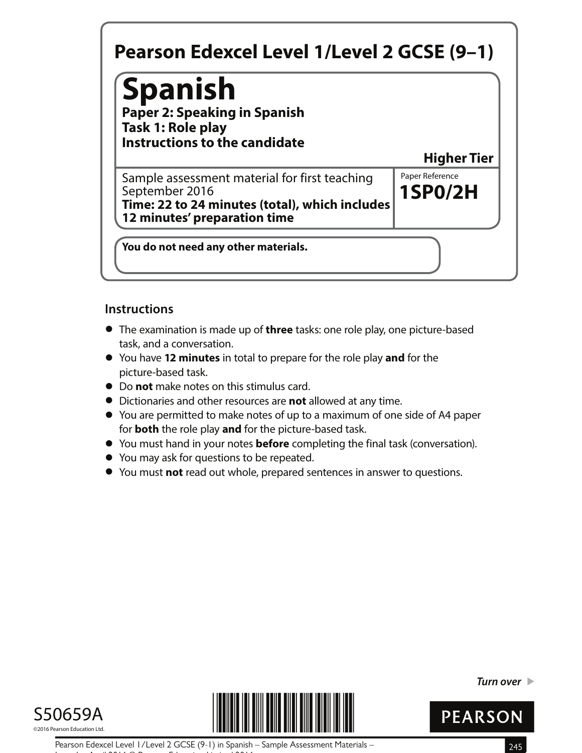# **Spanish**

**Paper 2: Speaking in Spanish Task 1: Role play Instructions to the candidate**

**Higher Tier**

**1SP0/2H** Sample assessment material for first teaching  $\|$  Paper Reference September 2016 **Time: 22 to 24 minutes (total), which includes 12 minutes' preparation time**

**You do not need any other materials.**

#### **Instructions**

- **•** The examination is made up of **three** tasks: one role play, one picture-based task, and a conversation.
- **•** You have **12 minutes** in total to prepare for the role play **and** for the picture-based task.
- **•** Do **not** make notes on this stimulus card.
- **•** Dictionaries and other resources are **not** allowed at any time.
- **•** You are permitted to make notes of up to a maximum of one side of A4 paper for **both** the role play **and** for the picture-based task.
- **•** for **both** the role play and for the picture-based task.<br>• You must hand in your notes **before** completing the final task (conversation).
- **•** You must hand in your notes **before** comp<br>• You may ask for questions to be repeated.
- **●** You may ask for questions to be repeated.<br>● You must **not** read out whole, prepared sentences in answer to questions.





**Turn over** 



Pearson Edexcel Level 1/Level 2 GCSE (9-1) in Spanish – Sample Assessment Materials – 245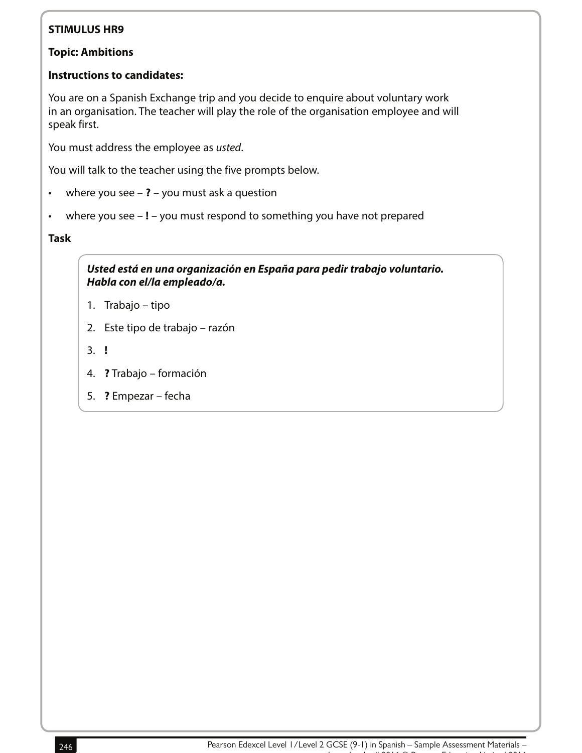#### **Topic: Ambitions**

#### **Instructions to candidates:**

You are on a Spanish Exchange trip and you decide to enquire about voluntary work in an organisation. The teacher will play the role of the organisation employee and will speak first.

You must address the employee as usted.

You will talk to the teacher using the five prompts below.

- where you see **?** you must ask a question
- where you see **!** you must respond to something you have not prepared

#### **Task**

**Usted está en una organización en España para pedir trabajo voluntario. Habla con el/la empleado/a.**

- 1. Trabajo tipo
- 2. Este tipo de trabajo razón
- 3. **!**
- 4. **?** Trabajo formación
- 5. **?** Empezar fecha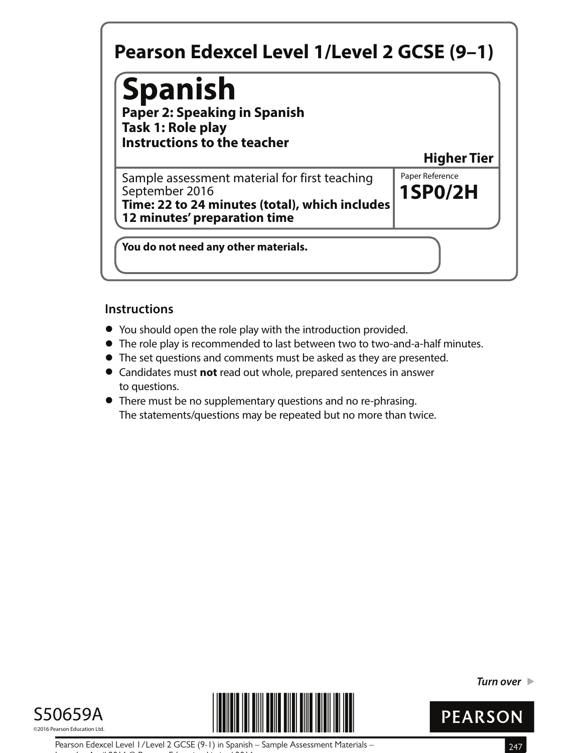## **Spanish**

**Paper 2: Speaking in Spanish Task 1: Role play Instructions to the teacher**

**Higher Tier**

**1SP0/2H** Sample assessment material for first teaching  $\|$  Paper Reference September 2016 **Time: 22 to 24 minutes (total), which includes 12 minutes' preparation time**

**You do not need any other materials.**

#### **Instructions**

- **•** You should open the role play with the introduction provided.
- You should open the role play with the introduction provided.<br>● The role play is recommended to last between two to two-and-a-half minutes.
- The role play is recommended to last between two to two-and-a-half n<br>● The set questions and comments must be asked as they are presented. • The set questions and comments must be asked as they are presented.<br>• Candidates must **not** read out whole, prepared sentences in answer
- to questions.
- **•** There must be no supplementary questions and no re-phrasing. The statements/questions may be repeated but no more than twice.





**Turn over** 



Pearson Edexcel Level 1/Level 2 GCSE (9-1) in Spanish – Sample Assessment Materials – 247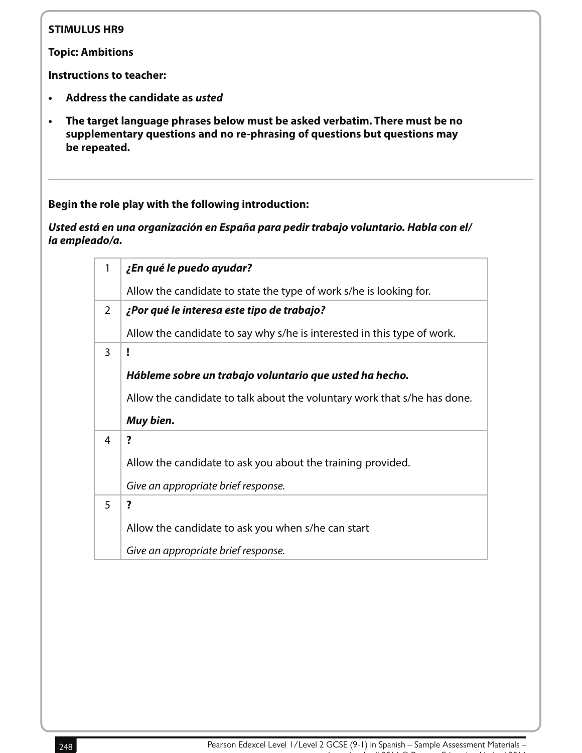**Topic: Ambitions**

**Instructions to teacher:**

- **• Address the candidate as usted**
- **• The target language phrases below must be asked verbatim. There must be no supplementary questions and no re-phrasing of questions but questions may be repeated.**

**Begin the role play with the following introduction:** 

**Usted está en una organización en España para pedir trabajo voluntario. Habla con el/ la empleado/a.**

| 1              | ¿En qué le puedo ayudar?                                                 |
|----------------|--------------------------------------------------------------------------|
|                | Allow the candidate to state the type of work s/he is looking for.       |
| $\overline{2}$ | ¿Por qué le interesa este tipo de trabajo?                               |
|                | Allow the candidate to say why s/he is interested in this type of work.  |
| 3              | ï                                                                        |
|                | Hábleme sobre un trabajo voluntario que usted ha hecho.                  |
|                | Allow the candidate to talk about the voluntary work that s/he has done. |
|                | Muy bien.                                                                |
| 4              | ?                                                                        |
|                |                                                                          |
|                | Allow the candidate to ask you about the training provided.              |
|                | Give an appropriate brief response.                                      |
| 5              | ?                                                                        |
|                | Allow the candidate to ask you when s/he can start                       |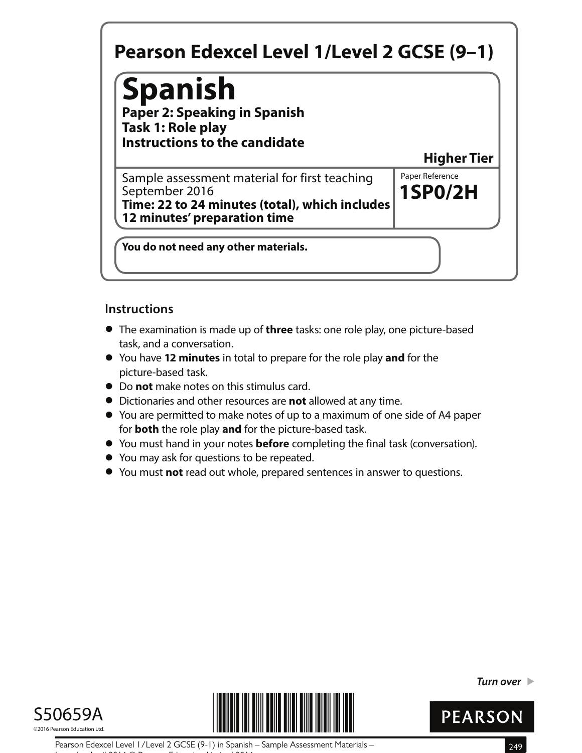# **Spanish**

**Paper 2: Speaking in Spanish Task 1: Role play Instructions to the candidate**

**Higher Tier**

**1SP0/2H** Sample assessment material for first teaching  $\|$  Paper Reference September 2016 **Time: 22 to 24 minutes (total), which includes 12 minutes' preparation time**

**You do not need any other materials.**

#### **Instructions**

- **•** The examination is made up of **three** tasks: one role play, one picture-based task, and a conversation.
- **•** You have **12 minutes** in total to prepare for the role play **and** for the picture-based task.
- **•** Do **not** make notes on this stimulus card.
- **•** Dictionaries and other resources are **not** allowed at any time.
- **•** You are permitted to make notes of up to a maximum of one side of A4 paper for **both** the role play **and** for the picture-based task.
- **•** for **both** the role play and for the picture-based task.<br>• You must hand in your notes **before** completing the final task (conversation).
- **•** You must hand in your notes **before** comp<br>• You may ask for questions to be repeated.
- **●** You may ask for questions to be repeated.<br>● You must **not** read out whole, prepared sentences in answer to questions.





**Turn over** 



Pearson Edexcel Level 1/Level 2 GCSE (9-1) in Spanish – Sample Assessment Materials – 249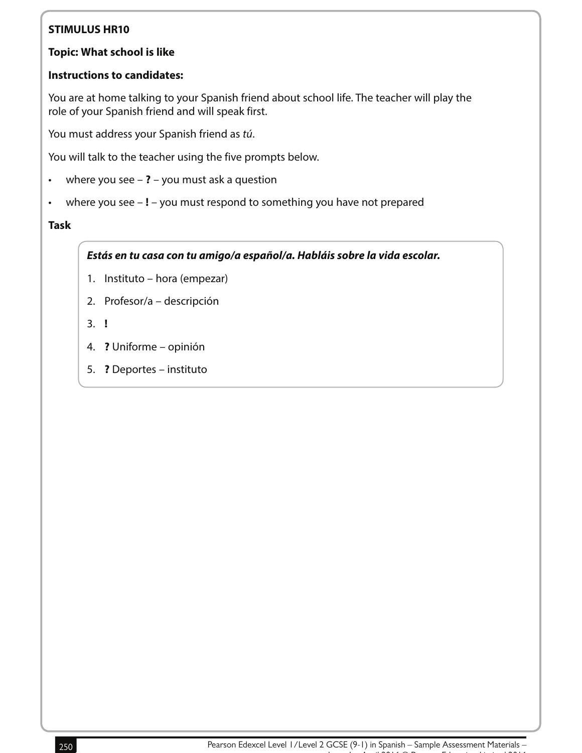#### **Topic: What school is like**

#### **Instructions to candidates:**

You are at home talking to your Spanish friend about school life. The teacher will play the role of your Spanish friend and will speak first.

You must address your Spanish friend as tú.

You will talk to the teacher using the five prompts below.

- where you see **?** you must ask a question
- where you see **!** you must respond to something you have not prepared

#### **Task**

**Estás en tu casa con tu amigo/a español/a. Habláis sobre la vida escolar.**

- 1. Instituto hora (empezar)
- 2. Profesor/a descripción
- 3. **!**
- 4. **?** Uniforme opinión
- 5. **?** Deportes instituto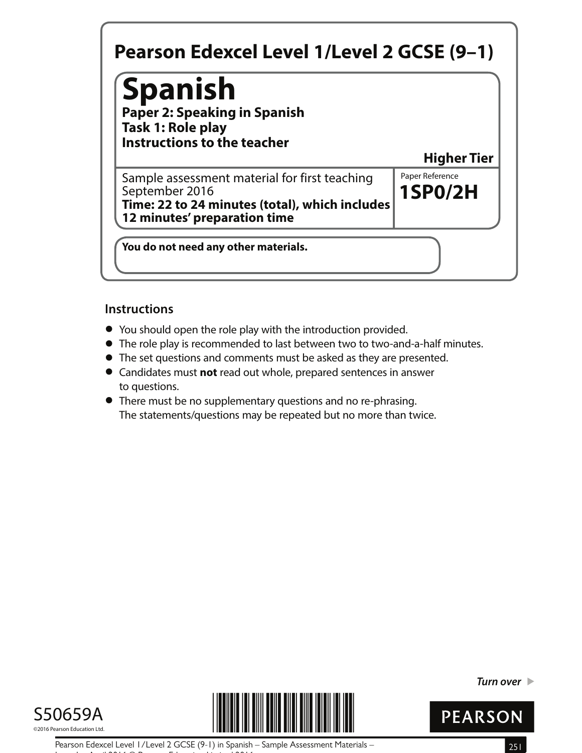## **Spanish**

**Paper 2: Speaking in Spanish Task 1: Role play Instructions to the teacher**

**Higher Tier**

**1SP0/2H** Sample assessment material for first teaching  $\|$  Paper Reference September 2016 **Time: 22 to 24 minutes (total), which includes 12 minutes' preparation time**

**You do not need any other materials.**

#### **Instructions**

- **•** You should open the role play with the introduction provided.
- You should open the role play with the introduction provided.<br>● The role play is recommended to last between two to two-and-a-half minutes.
- The role play is recommended to last between two to two-and-a-half n<br>● The set questions and comments must be asked as they are presented. • The set questions and comments must be asked as they are presented.<br>• Candidates must **not** read out whole, prepared sentences in answer
- to questions.
- **•** There must be no supplementary questions and no re-phrasing. The statements/questions may be repeated but no more than twice.





**Turn over** 



Pearson Edexcel Level 1/Level 2 GCSE (9-1) in Spanish – Sample Assessment Materials – 251